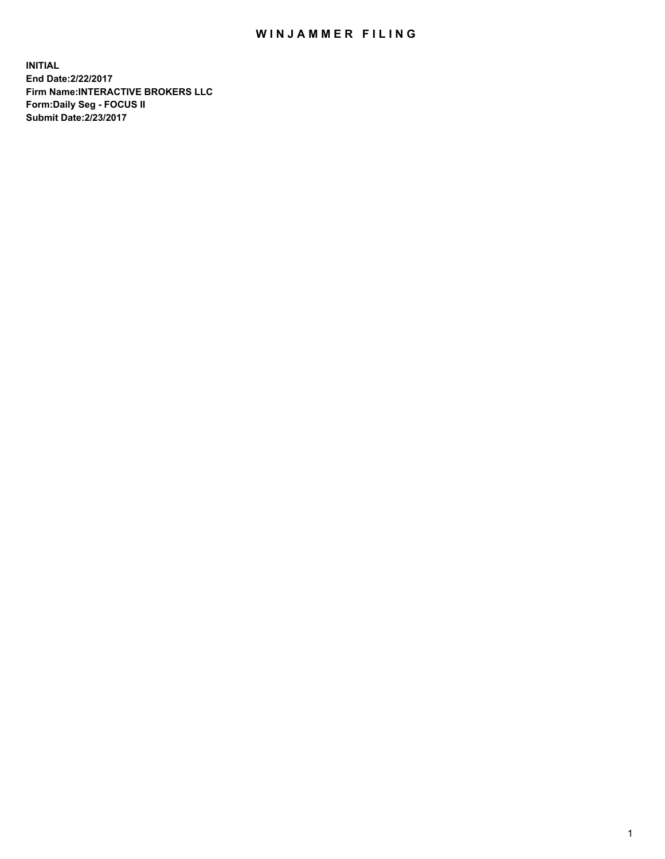## WIN JAMMER FILING

**INITIAL End Date:2/22/2017 Firm Name:INTERACTIVE BROKERS LLC Form:Daily Seg - FOCUS II Submit Date:2/23/2017**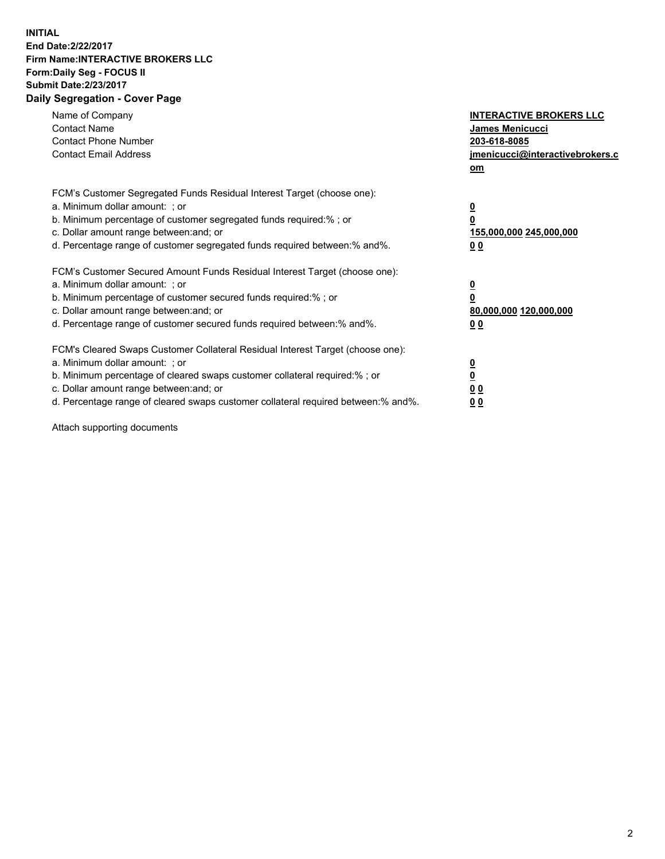## **INITIAL End Date:2/22/2017 Firm Name:INTERACTIVE BROKERS LLC Form:Daily Seg - FOCUS II Submit Date:2/23/2017 Daily Segregation - Cover Page**

| Name of Company<br><b>Contact Name</b><br><b>Contact Phone Number</b><br><b>Contact Email Address</b>                                                                                                                                                                                                                          | <b>INTERACTIVE BROKERS LLC</b><br><b>James Menicucci</b><br>203-618-8085<br>jmenicucci@interactivebrokers.c<br>om |
|--------------------------------------------------------------------------------------------------------------------------------------------------------------------------------------------------------------------------------------------------------------------------------------------------------------------------------|-------------------------------------------------------------------------------------------------------------------|
| FCM's Customer Segregated Funds Residual Interest Target (choose one):<br>a. Minimum dollar amount: ; or<br>b. Minimum percentage of customer segregated funds required:%; or<br>c. Dollar amount range between: and; or<br>d. Percentage range of customer segregated funds required between:% and%.                          | $\overline{\mathbf{0}}$<br>0<br>155,000,000 245,000,000<br>0 <sub>0</sub>                                         |
| FCM's Customer Secured Amount Funds Residual Interest Target (choose one):<br>a. Minimum dollar amount: ; or<br>b. Minimum percentage of customer secured funds required:%; or<br>c. Dollar amount range between: and; or<br>d. Percentage range of customer secured funds required between: % and %.                          | $\overline{\mathbf{0}}$<br>0<br>80,000,000 120,000,000<br>0 <sub>0</sub>                                          |
| FCM's Cleared Swaps Customer Collateral Residual Interest Target (choose one):<br>a. Minimum dollar amount: ; or<br>b. Minimum percentage of cleared swaps customer collateral required:% ; or<br>c. Dollar amount range between: and; or<br>d. Percentage range of cleared swaps customer collateral required between:% and%. | $\overline{\mathbf{0}}$<br>$\overline{\mathbf{0}}$<br>0 <sub>0</sub><br><u>00</u>                                 |

Attach supporting documents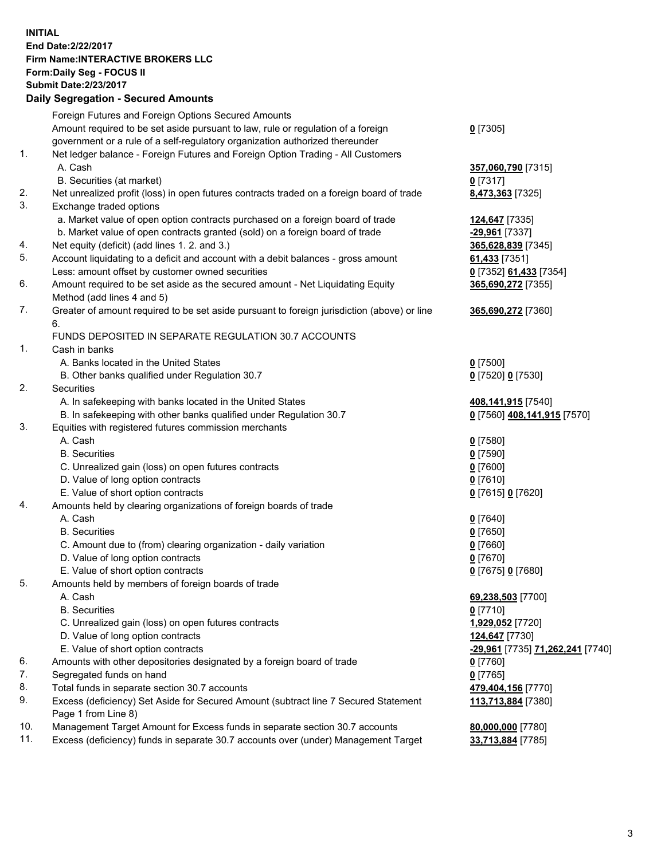## **INITIAL End Date:2/22/2017 Firm Name:INTERACTIVE BROKERS LLC Form:Daily Seg - FOCUS II Submit Date:2/23/2017**

|     | <b>Daily Segregation - Secured Amounts</b>                                                  |                                  |
|-----|---------------------------------------------------------------------------------------------|----------------------------------|
|     | Foreign Futures and Foreign Options Secured Amounts                                         |                                  |
|     | Amount required to be set aside pursuant to law, rule or regulation of a foreign            | $0$ [7305]                       |
|     | government or a rule of a self-regulatory organization authorized thereunder                |                                  |
| 1.  | Net ledger balance - Foreign Futures and Foreign Option Trading - All Customers             |                                  |
|     | A. Cash                                                                                     | 357,060,790 [7315]               |
|     | B. Securities (at market)                                                                   | $0$ [7317]                       |
| 2.  | Net unrealized profit (loss) in open futures contracts traded on a foreign board of trade   | 8,473,363 [7325]                 |
| 3.  | Exchange traded options                                                                     |                                  |
|     | a. Market value of open option contracts purchased on a foreign board of trade              | 124,647 [7335]                   |
|     | b. Market value of open contracts granted (sold) on a foreign board of trade                | -29,961 [7337]                   |
| 4.  | Net equity (deficit) (add lines 1.2. and 3.)                                                | 365,628,839 [7345]               |
| 5.  | Account liquidating to a deficit and account with a debit balances - gross amount           | 61,433 [7351]                    |
|     | Less: amount offset by customer owned securities                                            | 0 [7352] 61,433 [7354]           |
| 6.  | Amount required to be set aside as the secured amount - Net Liquidating Equity              | 365,690,272 [7355]               |
|     | Method (add lines 4 and 5)                                                                  |                                  |
| 7.  | Greater of amount required to be set aside pursuant to foreign jurisdiction (above) or line | 365,690,272 [7360]               |
|     | 6.                                                                                          |                                  |
|     | FUNDS DEPOSITED IN SEPARATE REGULATION 30.7 ACCOUNTS                                        |                                  |
| 1.  | Cash in banks                                                                               |                                  |
|     | A. Banks located in the United States                                                       | $0$ [7500]                       |
|     | B. Other banks qualified under Regulation 30.7                                              | 0 [7520] 0 [7530]                |
| 2.  | Securities                                                                                  |                                  |
|     | A. In safekeeping with banks located in the United States                                   | 408,141,915 [7540]               |
|     | B. In safekeeping with other banks qualified under Regulation 30.7                          | 0 [7560] 408,141,915 [7570]      |
| 3.  | Equities with registered futures commission merchants                                       |                                  |
|     | A. Cash                                                                                     | $0$ [7580]                       |
|     | <b>B.</b> Securities                                                                        | <u>0</u> [7590]                  |
|     | C. Unrealized gain (loss) on open futures contracts                                         | 0 [7600]                         |
|     | D. Value of long option contracts                                                           | $0$ [7610]                       |
|     | E. Value of short option contracts                                                          | 0 [7615] 0 [7620]                |
| 4.  | Amounts held by clearing organizations of foreign boards of trade                           |                                  |
|     | A. Cash                                                                                     | $0$ [7640]                       |
|     | <b>B.</b> Securities                                                                        | $0$ [7650]                       |
|     | C. Amount due to (from) clearing organization - daily variation                             | 0 [7660]                         |
|     | D. Value of long option contracts                                                           | $0$ [7670]                       |
|     | E. Value of short option contracts                                                          | 0 [7675] 0 [7680]                |
| 5.  | Amounts held by members of foreign boards of trade                                          |                                  |
|     | A. Cash                                                                                     | 69,238,503 [7700]                |
|     | <b>B.</b> Securities                                                                        | 0 [7710]                         |
|     | C. Unrealized gain (loss) on open futures contracts                                         | 1,929,052 [7720]                 |
|     | D. Value of long option contracts                                                           | 124,647 [7730]                   |
|     | E. Value of short option contracts                                                          | -29,961 [7735] 71,262,241 [7740] |
| 6.  | Amounts with other depositories designated by a foreign board of trade                      | 0 [7760]                         |
| 7.  | Segregated funds on hand                                                                    | $0$ [7765]                       |
| 8.  | Total funds in separate section 30.7 accounts                                               | 479,404,156 [7770]               |
| 9.  | Excess (deficiency) Set Aside for Secured Amount (subtract line 7 Secured Statement         | 113,713,884 [7380]               |
|     | Page 1 from Line 8)                                                                         |                                  |
| 10. | Management Target Amount for Excess funds in separate section 30.7 accounts                 | 80,000,000 [7780]                |
| 11. | Excess (deficiency) funds in separate 30.7 accounts over (under) Management Target          | 33,713,884 [7785]                |
|     |                                                                                             |                                  |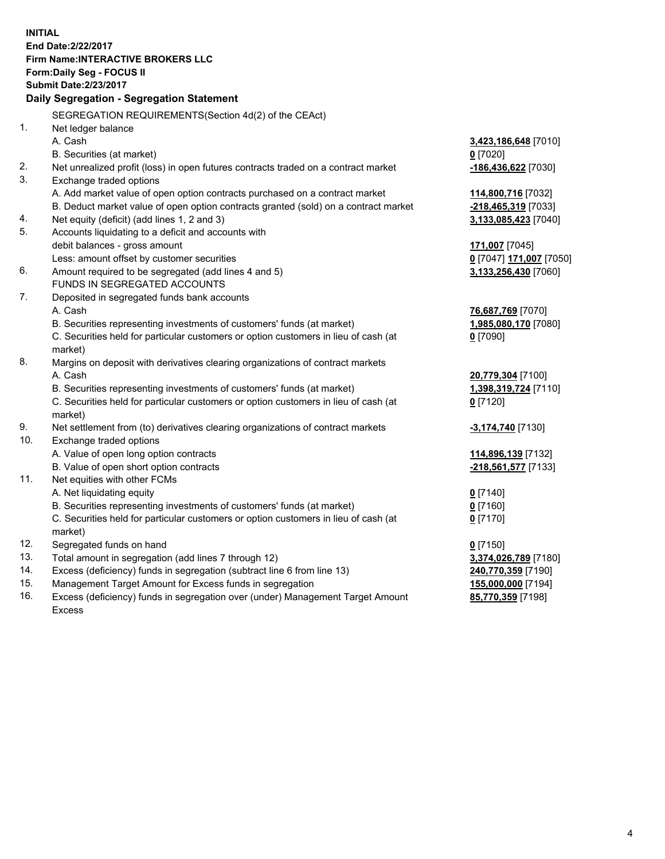**INITIAL End Date:2/22/2017 Firm Name:INTERACTIVE BROKERS LLC Form:Daily Seg - FOCUS II Submit Date:2/23/2017 Daily Segregation - Segregation Statement** SEGREGATION REQUIREMENTS(Section 4d(2) of the CEAct) 1. Net ledger balance A. Cash **3,423,186,648** [7010] B. Securities (at market) **0** [7020] 2. Net unrealized profit (loss) in open futures contracts traded on a contract market **-186,436,622** [7030] 3. Exchange traded options A. Add market value of open option contracts purchased on a contract market **114,800,716** [7032] B. Deduct market value of open option contracts granted (sold) on a contract market **-218,465,319** [7033] 4. Net equity (deficit) (add lines 1, 2 and 3) **3,133,085,423** [7040] 5. Accounts liquidating to a deficit and accounts with debit balances - gross amount **171,007** [7045] Less: amount offset by customer securities **0** [7047] **171,007** [7050] 6. Amount required to be segregated (add lines 4 and 5) **3,133,256,430** [7060] FUNDS IN SEGREGATED ACCOUNTS 7. Deposited in segregated funds bank accounts A. Cash **76,687,769** [7070] B. Securities representing investments of customers' funds (at market) **1,985,080,170** [7080] C. Securities held for particular customers or option customers in lieu of cash (at market) **0** [7090] 8. Margins on deposit with derivatives clearing organizations of contract markets A. Cash **20,779,304** [7100] B. Securities representing investments of customers' funds (at market) **1,398,319,724** [7110] C. Securities held for particular customers or option customers in lieu of cash (at market) **0** [7120] 9. Net settlement from (to) derivatives clearing organizations of contract markets **-3,174,740** [7130] 10. Exchange traded options A. Value of open long option contracts **114,896,139** [7132] B. Value of open short option contracts **-218,561,577** [7133] 11. Net equities with other FCMs A. Net liquidating equity **0** [7140] B. Securities representing investments of customers' funds (at market) **0** [7160] C. Securities held for particular customers or option customers in lieu of cash (at market) **0** [7170] 12. Segregated funds on hand **0** [7150] 13. Total amount in segregation (add lines 7 through 12) **3,374,026,789** [7180] 14. Excess (deficiency) funds in segregation (subtract line 6 from line 13) **240,770,359** [7190] 15. Management Target Amount for Excess funds in segregation **155,000,000** [7194]

16. Excess (deficiency) funds in segregation over (under) Management Target Amount Excess

**85,770,359** [7198]